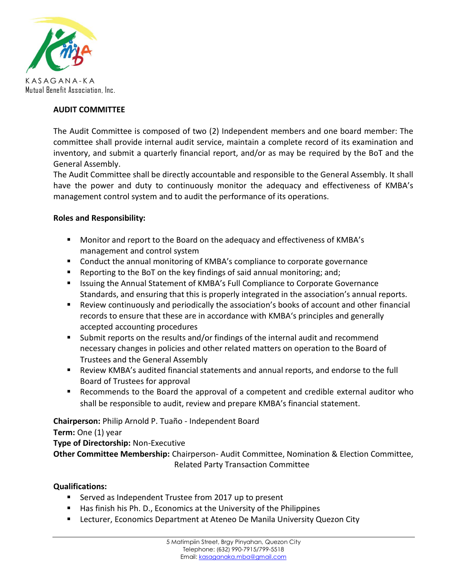

## **AUDIT COMMITTEE**

The Audit Committee is composed of two (2) Independent members and one board member: The committee shall provide internal audit service, maintain a complete record of its examination and inventory, and submit a quarterly financial report, and/or as may be required by the BoT and the General Assembly.

The Audit Committee shall be directly accountable and responsible to the General Assembly. It shall have the power and duty to continuously monitor the adequacy and effectiveness of KMBA's management control system and to audit the performance of its operations.

### **Roles and Responsibility:**

- Monitor and report to the Board on the adequacy and effectiveness of KMBA's management and control system
- Conduct the annual monitoring of KMBA's compliance to corporate governance
- Reporting to the BoT on the key findings of said annual monitoring; and;
- Issuing the Annual Statement of KMBA's Full Compliance to Corporate Governance Standards, and ensuring that this is properly integrated in the association's annual reports.
- Review continuously and periodically the association's books of account and other financial records to ensure that these are in accordance with KMBA's principles and generally accepted accounting procedures
- Submit reports on the results and/or findings of the internal audit and recommend necessary changes in policies and other related matters on operation to the Board of Trustees and the General Assembly
- Review KMBA's audited financial statements and annual reports, and endorse to the full Board of Trustees for approval
- Recommends to the Board the approval of a competent and credible external auditor who shall be responsible to audit, review and prepare KMBA's financial statement.

# **Chairperson:** Philip Arnold P. Tuaño - Independent Board

**Term:** One (1) year

**Type of Directorship:** Non-Executive

**Other Committee Membership:** Chairperson- Audit Committee, Nomination & Election Committee, Related Party Transaction Committee

# **Qualifications:**

- Served as Independent Trustee from 2017 up to present
- Has finish his Ph. D., Economics at the University of the Philippines
- **EXECTED EXECTED EXECTED EXECTED EXECTED FOR LETT** Lecturer, Economics Department City